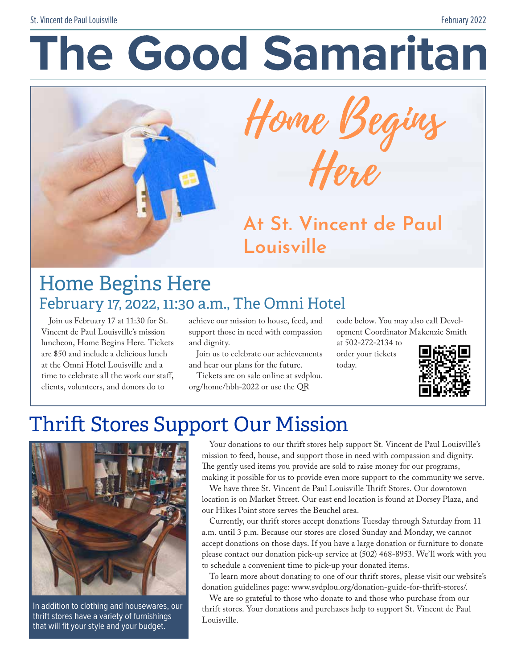#### St. Vincent de Paul Louisville February 2022

# **The Good Samaritan**



Here Home Beginz

# **At St. Vincent de Paul Louisville**

# Home Begins Here February 17, 2022, 11:30 a.m., The Omni Hotel

Join us February 17 at 11:30 for St. Vincent de Paul Louisville's mission luncheon, Home Begins Here. Tickets are \$50 and include a delicious lunch at the Omni Hotel Louisville and a time to celebrate all the work our staff, clients, volunteers, and donors do to

achieve our mission to house, feed, and support those in need with compassion and dignity.

Join us to celebrate our achievements and hear our plans for the future.

Tickets are on sale online at svdplou. org/home/hbh-2022 or use the QR

code below. You may also call Development Coordinator Makenzie Smith

at 502-272-2134 to order your tickets today.



# Thrift Stores Support Our Mission



In addition to clothing and housewares, our thrift stores have a variety of furnishings that will fit your style and your budget.

Your donations to our thrift stores help support St. Vincent de Paul Louisville's mission to feed, house, and support those in need with compassion and dignity. The gently used items you provide are sold to raise money for our programs, making it possible for us to provide even more support to the community we serve.

We have three St. Vincent de Paul Louisville Thrift Stores. Our downtown location is on Market Street. Our east end location is found at Dorsey Plaza, and our Hikes Point store serves the Beuchel area.

Currently, our thrift stores accept donations Tuesday through Saturday from 11 a.m. until 3 p.m. Because our stores are closed Sunday and Monday, we cannot accept donations on those days. If you have a large donation or furniture to donate please contact our donation pick-up service at (502) 468-8953. We'll work with you to schedule a convenient time to pick-up your donated items.

To learn more about donating to one of our thrift stores, please visit our website's donation guidelines page: www.svdplou.org/donation-guide-for-thrift-stores/.

We are so grateful to those who donate to and those who purchase from our thrift stores. Your donations and purchases help to support St. Vincent de Paul Louisville.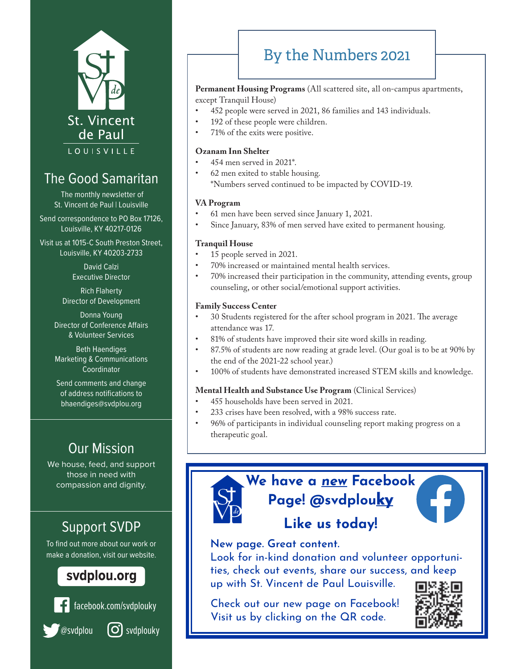

### The Good Samaritan

The monthly newsletter of St. Vincent de Paul | Louisville

Send correspondence to PO Box 17126, Louisville, KY 40217-0126

Visit us at 1015-C South Preston Street, Louisville, KY 40203-2733

> David Calzi Executive Director

Rich Flaherty Director of Development

Donna Young Director of Conference Affairs & Volunteer Services

Beth Haendiges Marketing & Communications Coordinator

Send comments and change of address notifications to bhaendiges@svdplou.org

### Our Mission

We house, feed, and support those in need with compassion and dignity.

### Support SVDP

To find out more about our work or make a donation, visit our website.

### svdplou.org





 $\mathcal O$  svdplouky

# By the Numbers 2021

**Permanent Housing Programs** (All scattered site, all on-campus apartments, except Tranquil House)

- 452 people were served in 2021, 86 families and 143 individuals.
- 192 of these people were children.
- 71% of the exits were positive.

#### **Ozanam Inn Shelter**

- 454 men served in 2021\*.
- 62 men exited to stable housing. \*Numbers served continued to be impacted by COVID-19.

#### **VA Program**

- 61 men have been served since January 1, 2021.
- Since January, 83% of men served have exited to permanent housing.

#### **Tranquil House**

- 15 people served in 2021.
- 70% increased or maintained mental health services.
- 70% increased their participation in the community, attending events, group counseling, or other social/emotional support activities.

#### **Family Success Center**

- 30 Students registered for the after school program in 2021. The average attendance was 17.
- 81% of students have improved their site word skills in reading.
- 87.5% of students are now reading at grade level. (Our goal is to be at 90% by the end of the 2021-22 school year.)
- 100% of students have demonstrated increased STEM skills and knowledge.

#### **Mental Health and Substance Use Program** (Clinical Services)

- 455 households have been served in 2021.
- 233 crises have been resolved, with a 98% success rate.
- 96% of participants in individual counseling report making progress on a therapeutic goal.

## **We have a new Facebook Page! @svdplouky Like us today!**

**New page. Great content.**

Look for in-kind donation and volunteer opportunities, check out events, share our success, and keep up with St. Vincent de Paul Louisville.

Check out our new page on Facebook! Visit us by clicking on the QR code.

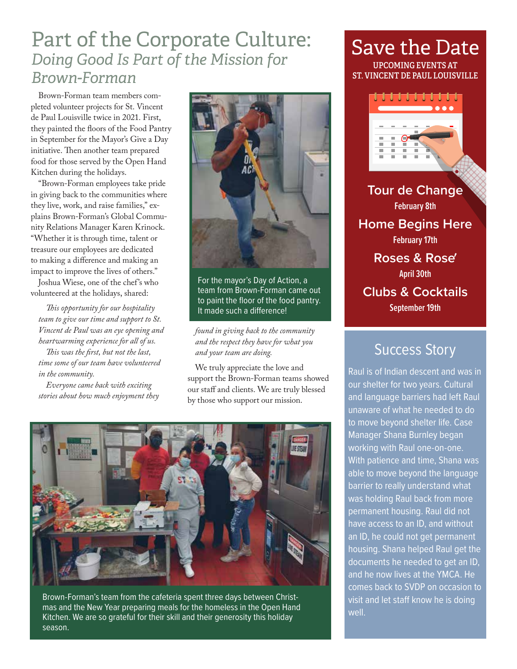# Part of the Corporate Culture: *Doing Good Is Part of the Mission for Brown-Forman*

Brown-Forman team members completed volunteer projects for St. Vincent de Paul Louisville twice in 2021. First, they painted the floors of the Food Pantry in September for the Mayor's Give a Day initiative. Then another team prepared food for those served by the Open Hand Kitchen during the holidays.

"Brown-Forman employees take pride in giving back to the communities where they live, work, and raise families," explains Brown-Forman's Global Community Relations Manager Karen Krinock. "Whether it is through time, talent or treasure our employees are dedicated to making a difference and making an impact to improve the lives of others."

Joshua Wiese, one of the chef's who volunteered at the holidays, shared:

*This opportunity for our hospitality team to give our time and support to St. Vincent de Paul was an eye opening and heartwarming experience for all of us. This was the first, but not the last, time some of our team have volunteered in the community.* 

*Everyone came back with exciting stories about how much enjoyment they* 



For the mayor's Day of Action, a team from Brown-Forman came out to paint the floor of the food pantry. It made such a difference!

*found in giving back to the community and the respect they have for what you and your team are doing.* 

We truly appreciate the love and support the Brown-Forman teams showed our staff and clients. We are truly blessed by those who support our mission.



Brown-Forman's team from the cafeteria spent three days between Christmas and the New Year preparing meals for the homeless in the Open Hand Kitchen. We are so grateful for their skill and their generosity this holiday season.

# Save the Date

**UPCOMING EVENTS AT ST. VINCENT DE PAUL LOUISVILLE**



**Tour de Change February 8th Home Begins Here February 17th Roses & Rose′ April 30th Clubs & Cocktails September 19th**

### Success Story

Raul is of Indian descent and was in our shelter for two years. Cultural and language barriers had left Raul unaware of what he needed to do to move beyond shelter life. Case Manager Shana Burnley began working with Raul one-on-one. With patience and time, Shana was able to move beyond the language barrier to really understand what was holding Raul back from more permanent housing. Raul did not have access to an ID, and without an ID, he could not get permanent housing. Shana helped Raul get the documents he needed to get an ID, and he now lives at the YMCA. He comes back to SVDP on occasion to visit and let staff know he is doing well.